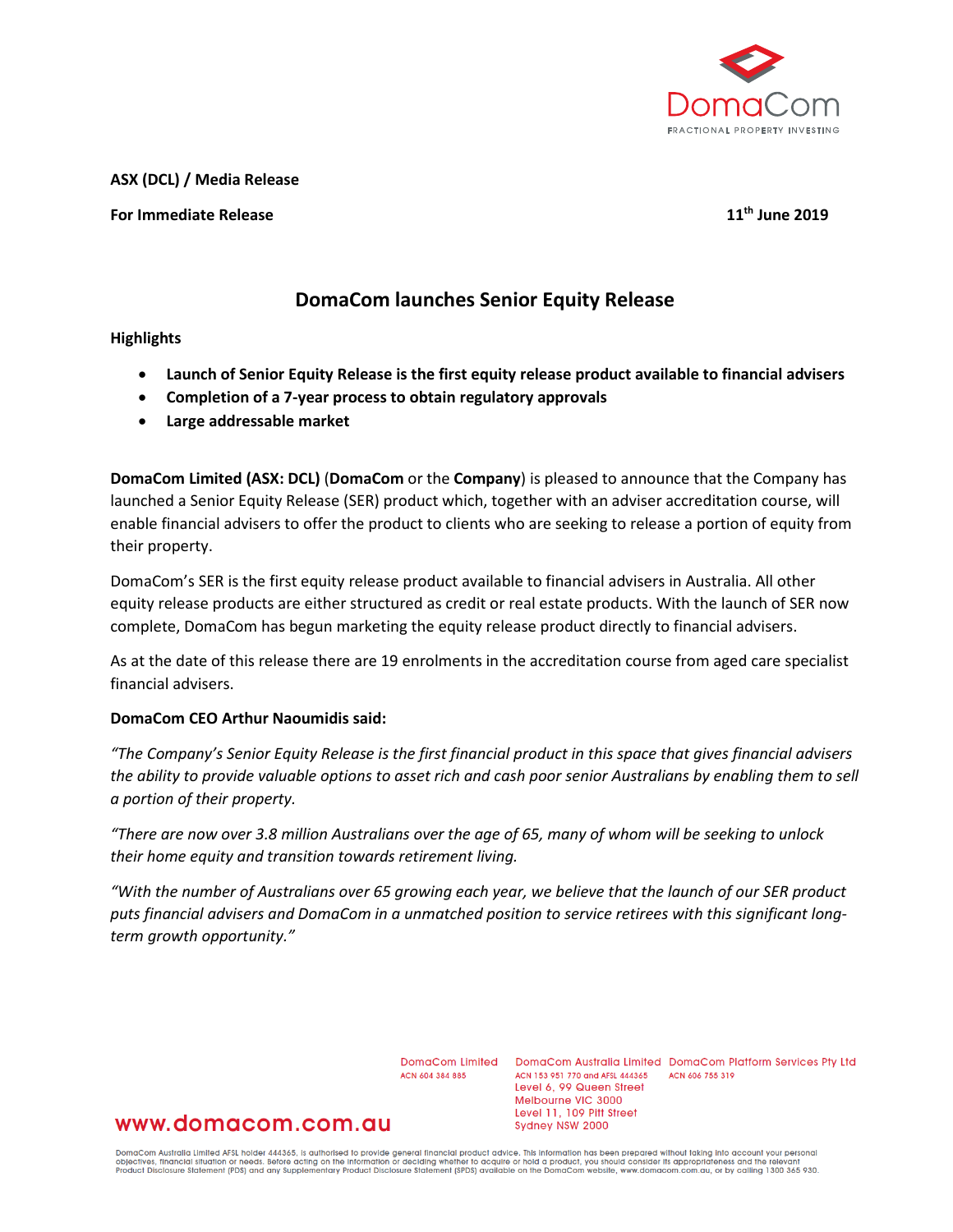

**ASX (DCL) / Media Release**

## **For Immediate Release 11th June 2019**

# **DomaCom launches Senior Equity Release**

### **Highlights**

- **Launch of Senior Equity Release is the first equity release product available to financial advisers**
- **Completion of a 7-year process to obtain regulatory approvals**
- **Large addressable market**

**DomaCom Limited (ASX: DCL)** (**DomaCom** or the **Company**) is pleased to announce that the Company has launched a Senior Equity Release (SER) product which, together with an adviser accreditation course, will enable financial advisers to offer the product to clients who are seeking to release a portion of equity from their property.

DomaCom's SER is the first equity release product available to financial advisers in Australia. All other equity release products are either structured as credit or real estate products. With the launch of SER now complete, DomaCom has begun marketing the equity release product directly to financial advisers.

As at the date of this release there are 19 enrolments in the accreditation course from aged care specialist financial advisers.

### **DomaCom CEO Arthur Naoumidis said:**

*"The Company's Senior Equity Release is the first financial product in this space that gives financial advisers the ability to provide valuable options to asset rich and cash poor senior Australians by enabling them to sell a portion of their property.*

*"There are now over 3.8 million Australians over the age of 65, many of whom will be seeking to unlock their home equity and transition towards retirement living.*

*"With the number of Australians over 65 growing each year, we believe that the launch of our SER product puts financial advisers and DomaCom in a unmatched position to service retirees with this significant longterm growth opportunity."* 

ACN 604 384 885

DomaCom Limited DomaCom Australia Limited DomaCom Platform Services Pty Ltd ACN 153 951 770 and AFSL 444365 ACN 606 755 319 Level 6, 99 Queen Street Melbourne VIC 3000 Level 11, 109 Pitt Street Sydney NSW 2000

# www.domacom.com.au

DomaCom Australia Limited AFSL holder 444365, is authorised to provide general financial product advice. This information has been prepared without taking into account your personal<br>objectives, financial situation or needs